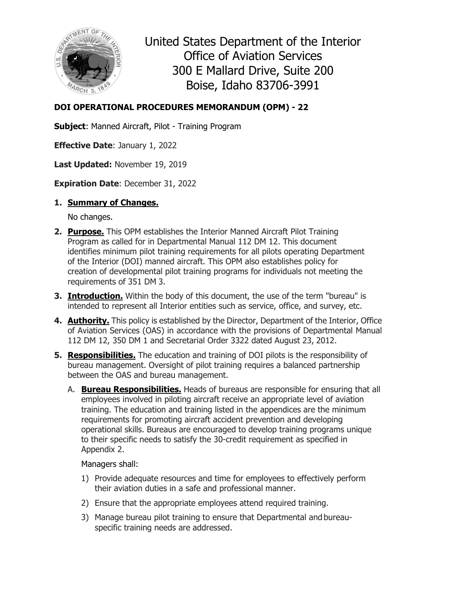

United States Department of the Interior Office of Aviation Services 300 E Mallard Drive, Suite 200 Boise, Idaho 83706-3991

# **DOI OPERATIONAL PROCEDURES MEMORANDUM (OPM) - 22**

**Subject**: Manned Aircraft, Pilot - Training Program

**Effective Date**: January 1, 2022

**Last Updated:** November 19, 2019

**Expiration Date**: December 31, 2022

## **1. Summary of Changes.**

No changes.

- **2. Purpose.** This OPM establishes the Interior Manned Aircraft Pilot Training Program as called for in Departmental Manual 112 DM 12. This document identifies minimum pilot training requirements for all pilots operating Department of the Interior (DOI) manned aircraft. This OPM also establishes policy for creation of developmental pilot training programs for individuals not meeting the requirements of 351 DM 3.
- **3. Introduction.** Within the body of this document, the use of the term "bureau" is intended to represent all Interior entities such as service, office, and survey, etc.
- **4. Authority.** This policy is established by the Director, Department of the Interior, Office of Aviation Services (OAS) in accordance with the provisions of Departmental Manual 112 DM 12, 350 DM 1 and Secretarial Order 3322 dated August 23, 2012.
- **5. Responsibilities.** The education and training of DOI pilots is the responsibility of bureau management. Oversight of pilot training requires a balanced partnership between the OAS and bureau management.
	- A. **Bureau Responsibilities.** Heads of bureaus are responsible for ensuring that all employees involved in piloting aircraft receive an appropriate level of aviation training. The education and training listed in the appendices are the minimum requirements for promoting aircraft accident prevention and developing operational skills. Bureaus are encouraged to develop training programs unique to their specific needs to satisfy the 30-credit requirement as specified in Appendix 2.

### Managers shall:

- 1) Provide adequate resources and time for employees to effectively perform their aviation duties in a safe and professional manner.
- 2) Ensure that the appropriate employees attend required training.
- 3) Manage bureau pilot training to ensure that Departmental and bureauspecific training needs are addressed.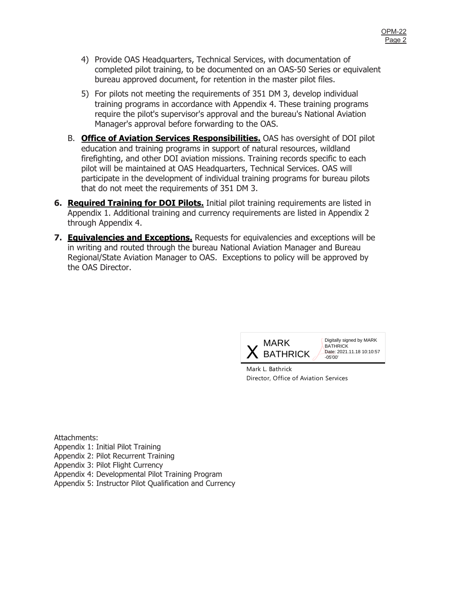- 4) Provide OAS Headquarters, Technical Services, with documentation of completed pilot training, to be documented on an OAS-50 Series or equivalent bureau approved document, for retention in the master pilot files.
- 5) For pilots not meeting the requirements of 351 DM 3, develop individual training programs in accordance with Appendix 4. These training programs require the pilot's supervisor's approval and the bureau's National Aviation Manager's approval before forwarding to the OAS.
- B. **Office of Aviation Services Responsibilities.** OAS has oversight of DOI pilot education and training programs in support of natural resources, wildland firefighting, and other DOI aviation missions. Training records specific to each pilot will be maintained at OAS Headquarters, Technical Services. OAS will participate in the development of individual training programs for bureau pilots that do not meet the requirements of 351 DM 3.
- **6. Required Training for DOI Pilots.** Initial pilot training requirements are listed in Appendix 1. Additional training and currency requirements are listed in Appendix 2 through Appendix 4.
- **7. Equivalencies and Exceptions.** Requests for equivalencies and exceptions will be in writing and routed through the bureau National Aviation Manager and Bureau Regional/State Aviation Manager to OAS. Exceptions to policy will be approved by the OAS Director.



Digitally signed by MARK **BATHRICK** Date: 2021.11.18 10:10:57

Mark L. Bathrick Director, Office of Aviation Services

Attachments: Appendix 1: Initial Pilot Training Appendix 2: Pilot Recurrent Training Appendix 3: Pilot Flight Currency Appendix 4: Developmental Pilot Training Program Appendix 5: Instructor Pilot Qualification and Currency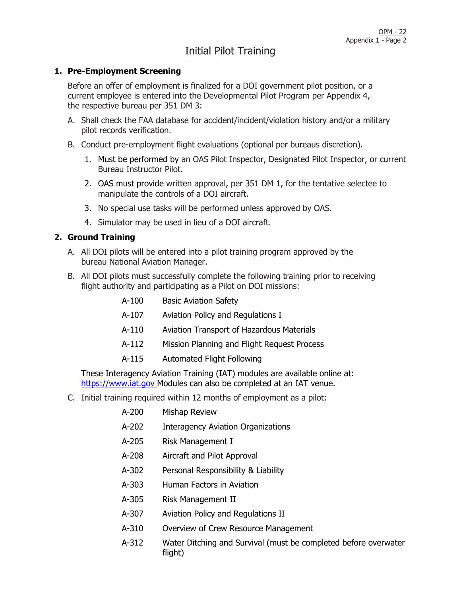# Initial Pilot Training

#### **1. Pre-Employment Screening**

Before an offer of employment is finalized for a DOI government pilot position, or a current employee is entered into the Developmental Pilot Program per Appendix 4, the respective bureau per 351 DM 3:

- A. Shall check the FAA database for accident/incident/violation history and/or a military pilot records verification.
- B. Conduct pre-employment flight evaluations (optional per bureaus discretion).
	- 1. Must be performed by an OAS Pilot Inspector, Designated Pilot Inspector, or current Bureau Instructor Pilot.
	- 2. OAS must provide written approval, per 351 DM 1, for the tentative selectee to manipulate the controls of a DOI aircraft.
	- 3. No special use tasks will be performed unless approved by OAS.
	- 4. Simulator may be used in lieu of a DOI aircraft.

#### **2. Ground Training**

- A. All DOI pilots will be entered into a pilot training program approved by the bureau National Aviation Manager.
- B. All DOI pilots must successfully complete the following training prior to receiving flight authority and participating as a Pilot on DOI missions:

| A-100                                                        | <b>Basic Aviation Safety</b>                     |  |
|--------------------------------------------------------------|--------------------------------------------------|--|
| A-107                                                        | Aviation Policy and Regulations I                |  |
| A-110                                                        | <b>Aviation Transport of Hazardous Materials</b> |  |
| A-112                                                        | Mission Planning and Flight Request Process      |  |
| A-115                                                        | <b>Automated Flight Following</b>                |  |
| caency Avistion Training (IAT) modules are available online: |                                                  |  |

These Interagency Aviation Training (IAT) modules are available online at: [https://www.iat.gov](https://www.iat.gov/) Modules can also be completed at an IAT venue.

C. Initial training required within 12 months of employment as a pilot:

| A-200   | Mishap Review                             |
|---------|-------------------------------------------|
| $A-202$ | <b>Interagency Aviation Organizations</b> |
| A-205   | Risk Management I                         |
| $A-208$ | Aircraft and Pilot Approval               |
| A-302   | Personal Responsibility & Liability       |
| $A-303$ | Human Factors in Aviation                 |
| A-305   | Risk Management II                        |
| A-307   | Aviation Policy and Regulations II        |
| A-310   | Overview of Crew Resource Management      |

A-312 Water Ditching and Survival (must be completed before overwater flight)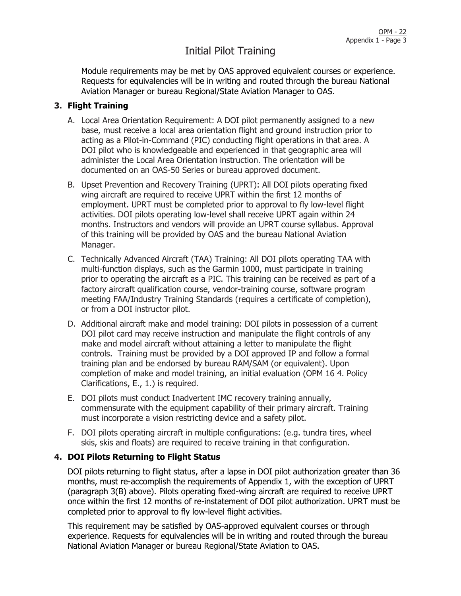# Initial Pilot Training

Module requirements may be met by OAS approved equivalent courses or experience. Requests for equivalencies will be in writing and routed through the bureau National Aviation Manager or bureau Regional/State Aviation Manager to OAS.

### **3. Flight Training**

- A. Local Area Orientation Requirement: A DOI pilot permanently assigned to a new base, must receive a local area orientation flight and ground instruction prior to acting as a Pilot-in-Command (PIC) conducting flight operations in that area. A DOI pilot who is knowledgeable and experienced in that geographic area will administer the Local Area Orientation instruction. The orientation will be documented on an OAS-50 Series or bureau approved document.
- B. Upset Prevention and Recovery Training (UPRT): All DOI pilots operating fixed wing aircraft are required to receive UPRT within the first 12 months of employment. UPRT must be completed prior to approval to fly low-level flight activities. DOI pilots operating low-level shall receive UPRT again within 24 months. Instructors and vendors will provide an UPRT course syllabus. Approval of this training will be provided by OAS and the bureau National Aviation Manager.
- C. Technically Advanced Aircraft (TAA) Training: All DOI pilots operating TAA with multi-function displays, such as the Garmin 1000, must participate in training prior to operating the aircraft as a PIC. This training can be received as part of a factory aircraft qualification course, vendor-training course, software program meeting FAA/Industry Training Standards (requires a certificate of completion), or from a DOI instructor pilot.
- D. Additional aircraft make and model training: DOI pilots in possession of a current DOI pilot card may receive instruction and manipulate the flight controls of any make and model aircraft without attaining a letter to manipulate the flight controls. Training must be provided by a DOI approved IP and follow a formal training plan and be endorsed by bureau RAM/SAM (or equivalent). Upon completion of make and model training, an initial evaluation (OPM 16 4. Policy Clarifications, E., 1.) is required.
- E. DOI pilots must conduct Inadvertent IMC recovery training annually, commensurate with the equipment capability of their primary aircraft. Training must incorporate a vision restricting device and a safety pilot.
- F. DOI pilots operating aircraft in multiple configurations: (e.g. tundra tires, wheel skis, skis and floats) are required to receive training in that configuration.

### **4. DOI Pilots Returning to Flight Status**

DOI pilots returning to flight status, after a lapse in DOI pilot authorization greater than 36 months, must re-accomplish the requirements of Appendix 1, with the exception of UPRT (paragraph 3(B) above). Pilots operating fixed-wing aircraft are required to receive UPRT once within the first 12 months of re-instatement of DOI pilot authorization. UPRT must be completed prior to approval to fly low-level flight activities.

This requirement may be satisfied by OAS-approved equivalent courses or through experience. Requests for equivalencies will be in writing and routed through the bureau National Aviation Manager or bureau Regional/State Aviation to OAS.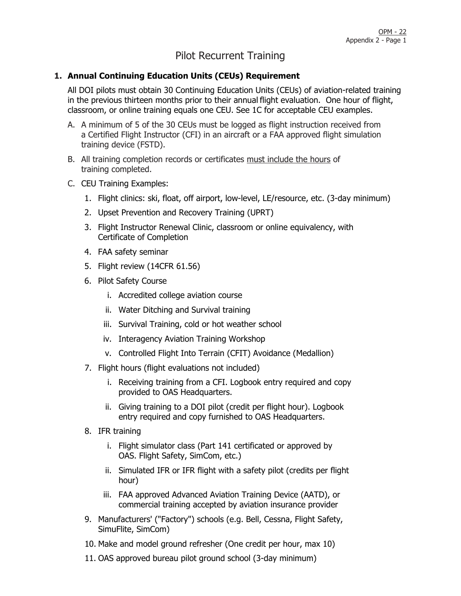# Pilot Recurrent Training

### **1. Annual Continuing Education Units (CEUs) Requirement**

All DOI pilots must obtain 30 Continuing Education Units (CEUs) of aviation-related training in the previous thirteen months prior to their annual flight evaluation. One hour of flight, classroom, or online training equals one CEU. See 1C for acceptable CEU examples.

- A. A minimum of 5 of the 30 CEUs must be logged as flight instruction received from a Certified Flight Instructor (CFI) in an aircraft or a FAA approved flight simulation training device (FSTD).
- B. All training completion records or certificates must include the hours of training completed.
- C. CEU Training Examples:
	- 1. Flight clinics: ski, float, off airport, low-level, LE/resource, etc. (3-day minimum)
	- 2. Upset Prevention and Recovery Training (UPRT)
	- 3. Flight Instructor Renewal Clinic, classroom or online equivalency, with Certificate of Completion
	- 4. FAA safety seminar
	- 5. Flight review (14CFR 61.56)
	- 6. Pilot Safety Course
		- i. Accredited college aviation course
		- ii. Water Ditching and Survival training
		- iii. Survival Training, cold or hot weather school
		- iv. Interagency Aviation Training Workshop
		- v. Controlled Flight Into Terrain (CFIT) Avoidance (Medallion)
	- 7. Flight hours (flight evaluations not included)
		- i. Receiving training from a CFI. Logbook entry required and copy provided to OAS Headquarters.
		- ii. Giving training to a DOI pilot (credit per flight hour). Logbook entry required and copy furnished to OAS Headquarters.
	- 8. IFR training
		- i. Flight simulator class (Part 141 certificated or approved by OAS. Flight Safety, SimCom, etc.)
		- ii. Simulated IFR or IFR flight with a safety pilot (credits per flight hour)
		- iii. FAA approved Advanced Aviation Training Device (AATD), or commercial training accepted by aviation insurance provider
	- 9. Manufacturers' ("Factory") schools (e.g. Bell, Cessna, Flight Safety, SimuFlite, SimCom)
	- 10. Make and model ground refresher (One credit per hour, max 10)
	- 11. OAS approved bureau pilot ground school (3-day minimum)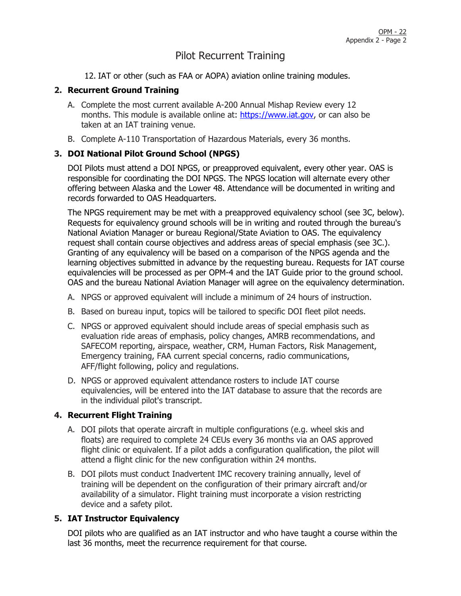# Pilot Recurrent Training

12. IAT or other (such as FAA or AOPA) aviation online training modules.

### **2. Recurrent Ground Training**

- A. Complete the most current available A-200 Annual Mishap Review every 12 months. This module is available online at: [https://www.iat.gov,](https://www.iat.gov/) or can also be taken at an IAT training venue.
- B. Complete A-110 Transportation of Hazardous Materials, every 36 months.

## **3. DOI National Pilot Ground School (NPGS)**

DOI Pilots must attend a DOI NPGS, or preapproved equivalent, every other year. OAS is responsible for coordinating the DOI NPGS. The NPGS location will alternate every other offering between Alaska and the Lower 48. Attendance will be documented in writing and records forwarded to OAS Headquarters.

The NPGS requirement may be met with a preapproved equivalency school (see 3C, below). Requests for equivalency ground schools will be in writing and routed through the bureau's National Aviation Manager or bureau Regional/State Aviation to OAS. The equivalency request shall contain course objectives and address areas of special emphasis (see 3C.). Granting of any equivalency will be based on a comparison of the NPGS agenda and the learning objectives submitted in advance by the requesting bureau. Requests for IAT course equivalencies will be processed as per OPM-4 and the IAT Guide prior to the ground school. OAS and the bureau National Aviation Manager will agree on the equivalency determination.

- A. NPGS or approved equivalent will include a minimum of 24 hours of instruction.
- B. Based on bureau input, topics will be tailored to specific DOI fleet pilot needs.
- C. NPGS or approved equivalent should include areas of special emphasis such as evaluation ride areas of emphasis, policy changes, AMRB recommendations, and SAFECOM reporting, airspace, weather, CRM, Human Factors, Risk Management, Emergency training, FAA current special concerns, radio communications, AFF/flight following, policy and regulations.
- D. NPGS or approved equivalent attendance rosters to include IAT course equivalencies, will be entered into the IAT database to assure that the records are in the individual pilot's transcript.

#### **4. Recurrent Flight Training**

- A. DOI pilots that operate aircraft in multiple configurations (e.g. wheel skis and floats) are required to complete 24 CEUs every 36 months via an OAS approved flight clinic or equivalent. If a pilot adds a configuration qualification, the pilot will attend a flight clinic for the new configuration within 24 months.
- B. DOI pilots must conduct Inadvertent IMC recovery training annually, level of training will be dependent on the configuration of their primary aircraft and/or availability of a simulator. Flight training must incorporate a vision restricting device and a safety pilot.

### **5. IAT Instructor Equivalency**

DOI pilots who are qualified as an IAT instructor and who have taught a course within the last 36 months, meet the recurrence requirement for that course.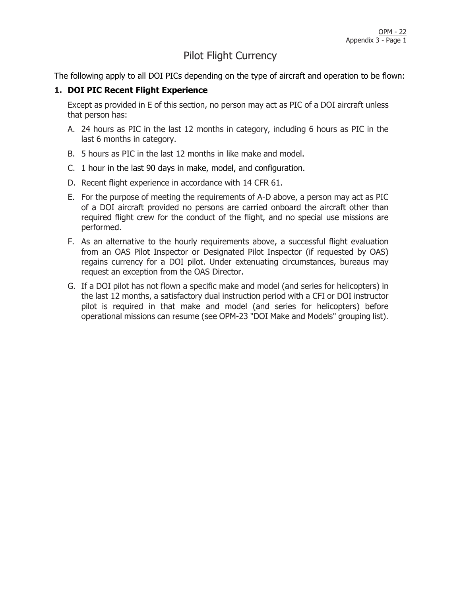# Pilot Flight Currency

The following apply to all DOI PICs depending on the type of aircraft and operation to be flown:

### **1. DOI PIC Recent Flight Experience**

Except as provided in E of this section, no person may act as PIC of a DOI aircraft unless that person has:

- A. 24 hours as PIC in the last 12 months in category, including 6 hours as PIC in the last 6 months in category.
- B. 5 hours as PIC in the last 12 months in like make and model.
- C. 1 hour in the last 90 days in make, model, and configuration.
- D. Recent flight experience in accordance with 14 CFR 61.
- E. For the purpose of meeting the requirements of A-D above, a person may act as PIC of a DOI aircraft provided no persons are carried onboard the aircraft other than required flight crew for the conduct of the flight, and no special use missions are performed.
- F. As an alternative to the hourly requirements above, a successful flight evaluation from an OAS Pilot Inspector or Designated Pilot Inspector (if requested by OAS) regains currency for a DOI pilot. Under extenuating circumstances, bureaus may request an exception from the OAS Director.
- G. If a DOI pilot has not flown a specific make and model (and series for helicopters) in the last 12 months, a satisfactory dual instruction period with a CFI or DOI instructor pilot is required in that make and model (and series for helicopters) before operational missions can resume (see OPM-23 "DOI Make and Models" grouping list).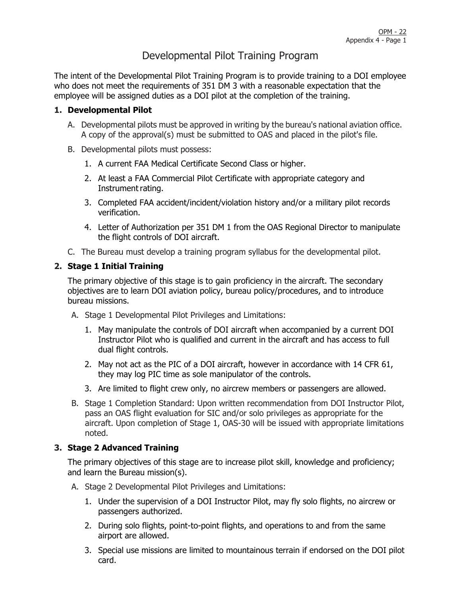# Developmental Pilot Training Program

The intent of the Developmental Pilot Training Program is to provide training to a DOI employee who does not meet the requirements of 351 DM 3 with a reasonable expectation that the employee will be assigned duties as a DOI pilot at the completion of the training.

### **1. Developmental Pilot**

- A. Developmental pilots must be approved in writing by the bureau's national aviation office. A copy of the approval(s) must be submitted to OAS and placed in the pilot's file.
- B. Developmental pilots must possess:
	- 1. A current FAA Medical Certificate Second Class or higher.
	- 2. At least a FAA Commercial Pilot Certificate with appropriate category and Instrument rating.
	- 3. Completed FAA accident/incident/violation history and/or a military pilot records verification.
	- 4. Letter of Authorization per 351 DM 1 from the OAS Regional Director to manipulate the flight controls of DOI aircraft.
- C. The Bureau must develop a training program syllabus for the developmental pilot.

#### **2. Stage 1 Initial Training**

The primary objective of this stage is to gain proficiency in the aircraft. The secondary objectives are to learn DOI aviation policy, bureau policy/procedures, and to introduce bureau missions.

- A. Stage 1 Developmental Pilot Privileges and Limitations:
	- 1. May manipulate the controls of DOI aircraft when accompanied by a current DOI Instructor Pilot who is qualified and current in the aircraft and has access to full dual flight controls.
	- 2. May not act as the PIC of a DOI aircraft, however in accordance with 14 CFR 61, they may log PIC time as sole manipulator of the controls.
	- 3. Are limited to flight crew only, no aircrew members or passengers are allowed.
- B. Stage 1 Completion Standard: Upon written recommendation from DOI Instructor Pilot, pass an OAS flight evaluation for SIC and/or solo privileges as appropriate for the aircraft. Upon completion of Stage 1, OAS-30 will be issued with appropriate limitations noted.

#### **3. Stage 2 Advanced Training**

The primary objectives of this stage are to increase pilot skill, knowledge and proficiency; and learn the Bureau mission(s).

- A. Stage 2 Developmental Pilot Privileges and Limitations:
	- 1. Under the supervision of a DOI Instructor Pilot, may fly solo flights, no aircrew or passengers authorized.
	- 2. During solo flights, point-to-point flights, and operations to and from the same airport are allowed.
	- 3. Special use missions are limited to mountainous terrain if endorsed on the DOI pilot card.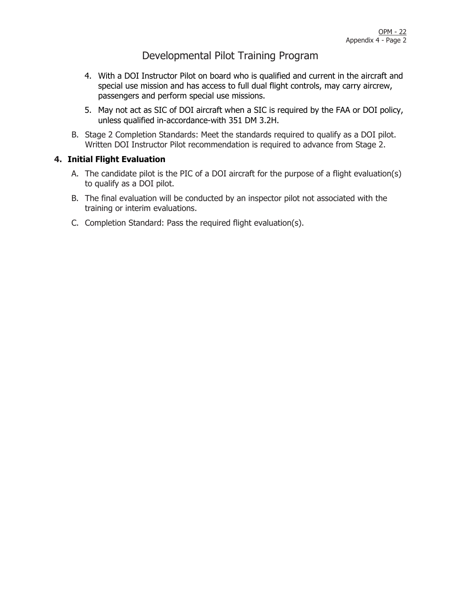# Developmental Pilot Training Program

- 4. With a DOI Instructor Pilot on board who is qualified and current in the aircraft and special use mission and has access to full dual flight controls, may carry aircrew, passengers and perform special use missions.
- 5. May not act as SIC of DOI aircraft when a SIC is required by the FAA or DOI policy, unless qualified in-accordance-with 351 DM 3.2H.
- B. Stage 2 Completion Standards: Meet the standards required to qualify as a DOI pilot. Written DOI Instructor Pilot recommendation is required to advance from Stage 2.

#### **4. Initial Flight Evaluation**

- A. The candidate pilot is the PIC of a DOI aircraft for the purpose of a flight evaluation(s) to qualify as a DOI pilot.
- B. The final evaluation will be conducted by an inspector pilot not associated with the training or interim evaluations.
- C. Completion Standard: Pass the required flight evaluation(s).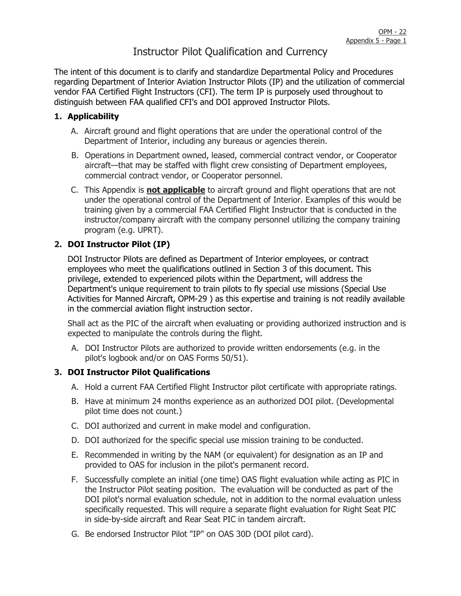# Instructor Pilot Qualification and Currency

The intent of this document is to clarify and standardize Departmental Policy and Procedures regarding Department of Interior Aviation Instructor Pilots (IP) and the utilization of commercial vendor FAA Certified Flight Instructors (CFI). The term IP is purposely used throughout to distinguish between FAA qualified CFI's and DOI approved Instructor Pilots.

#### **1. Applicability**

- A. Aircraft ground and flight operations that are under the operational control of the Department of Interior, including any bureaus or agencies therein.
- B. Operations in Department owned, leased, commercial contract vendor, or Cooperator aircraft—that may be staffed with flight crew consisting of Department employees, commercial contract vendor, or Cooperator personnel.
- C. This Appendix is **not applicable** to aircraft ground and flight operations that are not under the operational control of the Department of Interior. Examples of this would be training given by a commercial FAA Certified Flight Instructor that is conducted in the instructor/company aircraft with the company personnel utilizing the company training program (e.g. UPRT).

#### **2. DOI Instructor Pilot (IP)**

DOI Instructor Pilots are defined as Department of Interior employees, or contract employees who meet the qualifications outlined in Section 3 of this document. This privilege, extended to experienced pilots within the Department, will address the Department's unique requirement to train pilots to fly special use missions (Special Use Activities for Manned Aircraft, OPM-29 ) as this expertise and training is not readily available in the commercial aviation flight instruction sector.

Shall act as the PIC of the aircraft when evaluating or providing authorized instruction and is expected to manipulate the controls during the flight.

A. DOI Instructor Pilots are authorized to provide written endorsements (e.g. in the pilot's logbook and/or on OAS Forms 50/51).

#### **3. DOI Instructor Pilot Qualifications**

- A. Hold a current FAA Certified Flight Instructor pilot certificate with appropriate ratings.
- B. Have at minimum 24 months experience as an authorized DOI pilot. (Developmental pilot time does not count.)
- C. DOI authorized and current in make model and configuration.
- D. DOI authorized for the specific special use mission training to be conducted.
- E. Recommended in writing by the NAM (or equivalent) for designation as an IP and provided to OAS for inclusion in the pilot's permanent record.
- F. Successfully complete an initial (one time) OAS flight evaluation while acting as PIC in the Instructor Pilot seating position. The evaluation will be conducted as part of the DOI pilot's normal evaluation schedule, not in addition to the normal evaluation unless specifically requested. This will require a separate flight evaluation for Right Seat PIC in side-by-side aircraft and Rear Seat PIC in tandem aircraft.
- G. Be endorsed Instructor Pilot "IP" on OAS 30D (DOI pilot card).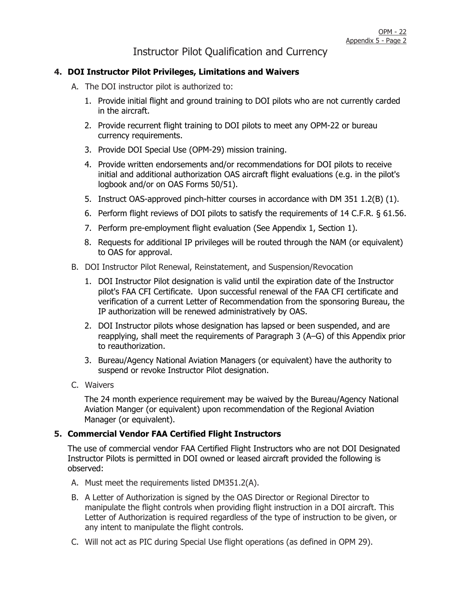# Instructor Pilot Qualification and Currency

#### **4. DOI Instructor Pilot Privileges, Limitations and Waivers**

- A. The DOI instructor pilot is authorized to:
	- 1. Provide initial flight and ground training to DOI pilots who are not currently carded in the aircraft.
	- 2. Provide recurrent flight training to DOI pilots to meet any OPM-22 or bureau currency requirements.
	- 3. Provide DOI Special Use (OPM-29) mission training.
	- 4. Provide written endorsements and/or recommendations for DOI pilots to receive initial and additional authorization OAS aircraft flight evaluations (e.g. in the pilot's logbook and/or on OAS Forms 50/51).
	- 5. Instruct OAS-approved pinch-hitter courses in accordance with DM 351 1.2(B) (1).
	- 6. Perform flight reviews of DOI pilots to satisfy the requirements of 14 C.F.R. § 61.56.
	- 7. Perform pre-employment flight evaluation (See Appendix 1, Section 1).
	- 8. Requests for additional IP privileges will be routed through the NAM (or equivalent) to OAS for approval.
- B. DOI Instructor Pilot Renewal, Reinstatement, and Suspension/Revocation
	- 1. DOI Instructor Pilot designation is valid until the expiration date of the Instructor pilot's FAA CFI Certificate. Upon successful renewal of the FAA CFI certificate and verification of a current Letter of Recommendation from the sponsoring Bureau, the IP authorization will be renewed administratively by OAS.
	- 2. DOI Instructor pilots whose designation has lapsed or been suspended, and are reapplying, shall meet the requirements of Paragraph 3 (A–G) of this Appendix prior to reauthorization.
	- 3. Bureau/Agency National Aviation Managers (or equivalent) have the authority to suspend or revoke Instructor Pilot designation.
- C. Waivers

The 24 month experience requirement may be waived by the Bureau/Agency National Aviation Manger (or equivalent) upon recommendation of the Regional Aviation Manager (or equivalent).

#### **5. Commercial Vendor FAA Certified Flight Instructors**

The use of commercial vendor FAA Certified Flight Instructors who are not DOI Designated Instructor Pilots is permitted in DOI owned or leased aircraft provided the following is observed:

- A. Must meet the requirements listed DM351.2(A).
- B. A Letter of Authorization is signed by the OAS Director or Regional Director to manipulate the flight controls when providing flight instruction in a DOI aircraft. This Letter of Authorization is required regardless of the type of instruction to be given, or any intent to manipulate the flight controls.
- C. Will not act as PIC during Special Use flight operations (as defined in OPM 29).